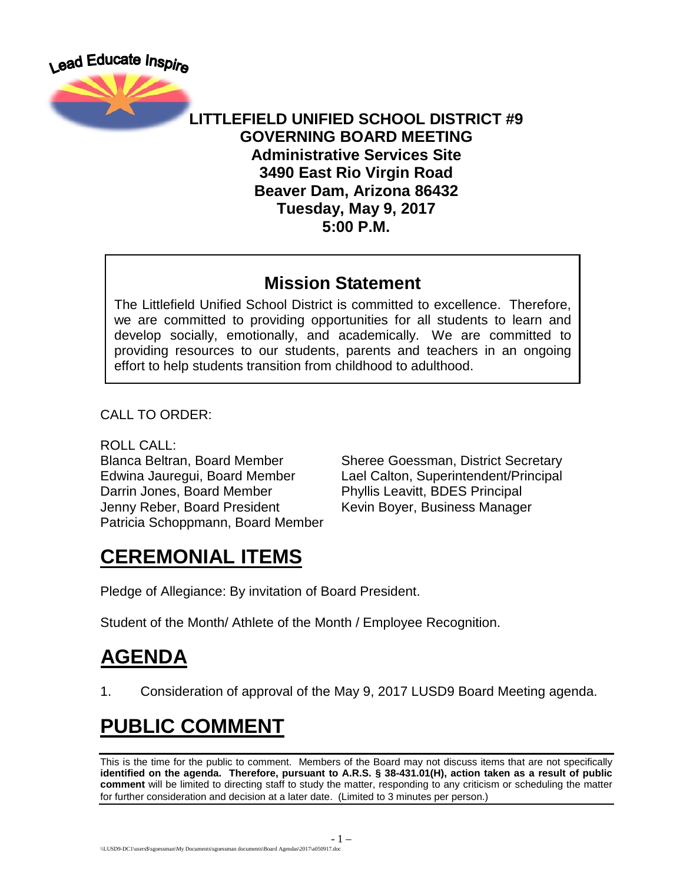Lead Educate Inspire



**LITTLEFIELD UNIFIED SCHOOL DISTRICT #9 GOVERNING BOARD MEETING Administrative Services Site 3490 East Rio Virgin Road Beaver Dam, Arizona 86432 Tuesday, May 9, 2017 5:00 P.M.**

#### **Mission Statement**

The Littlefield Unified School District is committed to excellence. Therefore, we are committed to providing opportunities for all students to learn and develop socially, emotionally, and academically. We are committed to providing resources to our students, parents and teachers in an ongoing effort to help students transition from childhood to adulthood.

CALL TO ORDER:

ROLL CALL:

Darrin Jones, Board Member Phyllis Leavitt, BDES Principal Jenny Reber, Board President Kevin Boyer, Business Manager Patricia Schoppmann, Board Member

Blanca Beltran, Board Member Sheree Goessman, District Secretary Edwina Jauregui, Board Member Lael Calton, Superintendent/Principal

## **CEREMONIAL ITEMS**

Pledge of Allegiance: By invitation of Board President.

Student of the Month/ Athlete of the Month / Employee Recognition.

## **AGENDA**

1. Consideration of approval of the May 9, 2017 LUSD9 Board Meeting agenda.

# **PUBLIC COMMENT**

This is the time for the public to comment. Members of the Board may not discuss items that are not specifically **identified on the agenda. Therefore, pursuant to A.R.S. § 38-431.01(H), action taken as a result of public comment** will be limited to directing staff to study the matter, responding to any criticism or scheduling the matter for further consideration and decision at a later date. (Limited to 3 minutes per person.)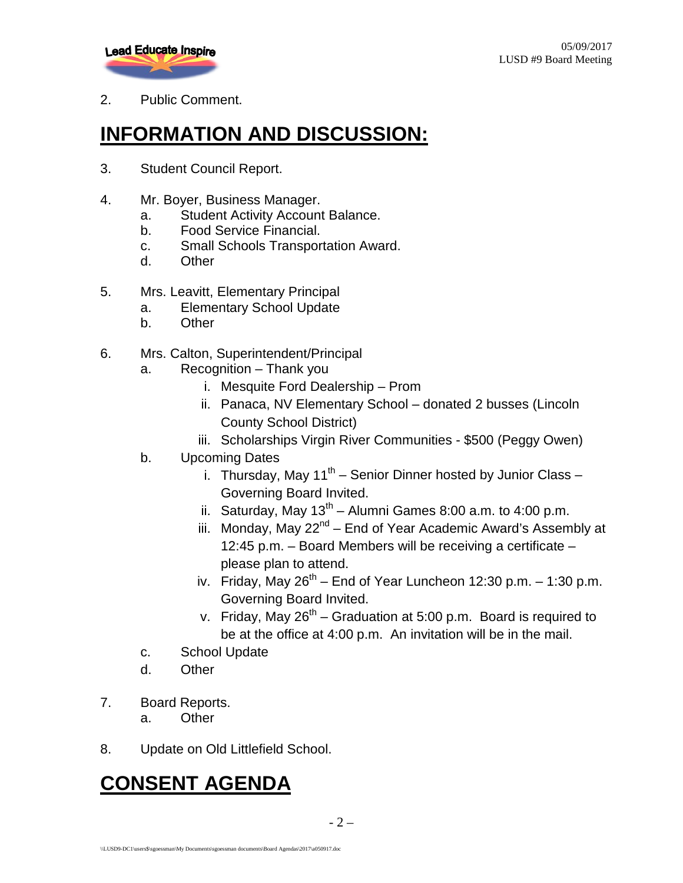

2. Public Comment.

## **INFORMATION AND DISCUSSION:**

- 3. Student Council Report.
- 4. Mr. Boyer, Business Manager.
	- a. Student Activity Account Balance.
	- b. Food Service Financial.
	- c. Small Schools Transportation Award.
	- d. Other
- 5. Mrs. Leavitt, Elementary Principal
	- a. Elementary School Update
	- b. Other
- 6. Mrs. Calton, Superintendent/Principal
	- a. Recognition Thank you
		- i. Mesquite Ford Dealership Prom
		- ii. Panaca, NV Elementary School donated 2 busses (Lincoln County School District)
		- iii. Scholarships Virgin River Communities \$500 (Peggy Owen)
	- b. Upcoming Dates
		- i. Thursday, May  $11^{th}$  Senior Dinner hosted by Junior Class Governing Board Invited.
		- ii. Saturday, May  $13<sup>th</sup>$  Alumni Games 8:00 a.m. to 4:00 p.m.
		- iii. Monday, May 22<sup>nd</sup> End of Year Academic Award's Assembly at 12:45 p.m. – Board Members will be receiving a certificate – please plan to attend.
		- iv. Friday, May  $26^{th}$  End of Year Luncheon 12:30 p.m. 1:30 p.m. Governing Board Invited.
		- v. Friday, May  $26^{th}$  Graduation at 5:00 p.m. Board is required to be at the office at 4:00 p.m. An invitation will be in the mail.
	- c. School Update
	- d. Other
- 7. Board Reports.
	- a. Other
- 8. Update on Old Littlefield School.

### **CONSENT AGENDA**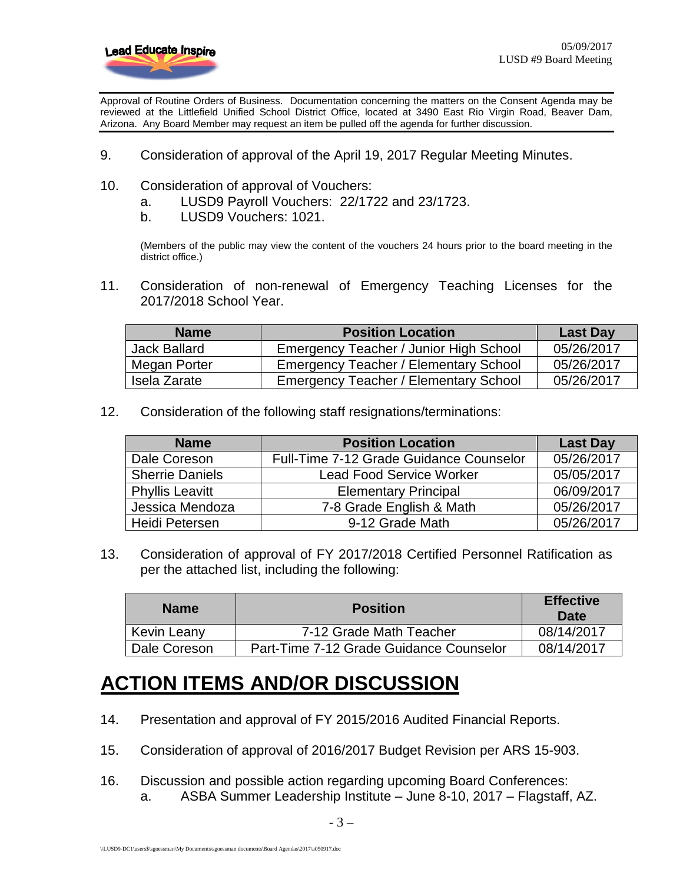

Approval of Routine Orders of Business. Documentation concerning the matters on the Consent Agenda may be reviewed at the Littlefield Unified School District Office, located at 3490 East Rio Virgin Road, Beaver Dam, Arizona. Any Board Member may request an item be pulled off the agenda for further discussion.

- 9. Consideration of approval of the April 19, 2017 Regular Meeting Minutes.
- 10. Consideration of approval of Vouchers:
	- a. LUSD9 Payroll Vouchers: 22/1722 and 23/1723.
	- b. LUSD9 Vouchers: 1021.

(Members of the public may view the content of the vouchers 24 hours prior to the board meeting in the district office.)

11. Consideration of non-renewal of Emergency Teaching Licenses for the 2017/2018 School Year.

| <b>Name</b>         | <b>Position Location</b>                     | <b>Last Day</b> |
|---------------------|----------------------------------------------|-----------------|
| <b>Jack Ballard</b> | Emergency Teacher / Junior High School       | 05/26/2017      |
| Megan Porter        | <b>Emergency Teacher / Elementary School</b> | 05/26/2017      |
| Isela Zarate        | <b>Emergency Teacher / Elementary School</b> | 05/26/2017      |

12. Consideration of the following staff resignations/terminations:

| <b>Name</b>            | <b>Position Location</b>                | <b>Last Day</b> |
|------------------------|-----------------------------------------|-----------------|
| Dale Coreson           | Full-Time 7-12 Grade Guidance Counselor | 05/26/2017      |
| <b>Sherrie Daniels</b> | <b>Lead Food Service Worker</b>         | 05/05/2017      |
| <b>Phyllis Leavitt</b> | <b>Elementary Principal</b>             | 06/09/2017      |
| Jessica Mendoza        | 7-8 Grade English & Math                | 05/26/2017      |
| <b>Heidi Petersen</b>  | 9-12 Grade Math                         | 05/26/2017      |

13. Consideration of approval of FY 2017/2018 Certified Personnel Ratification as per the attached list, including the following:

| <b>Name</b>  | <b>Position</b>                         | <b>Effective</b><br>Date |
|--------------|-----------------------------------------|--------------------------|
| Kevin Leany  | 7-12 Grade Math Teacher                 | 08/14/2017               |
| Dale Coreson | Part-Time 7-12 Grade Guidance Counselor | 08/14/2017               |

#### **ACTION ITEMS AND/OR DISCUSSION**

- 14. Presentation and approval of FY 2015/2016 Audited Financial Reports.
- 15. Consideration of approval of 2016/2017 Budget Revision per ARS 15-903.
- 16. Discussion and possible action regarding upcoming Board Conferences: a. ASBA Summer Leadership Institute – June 8-10, 2017 – Flagstaff, AZ.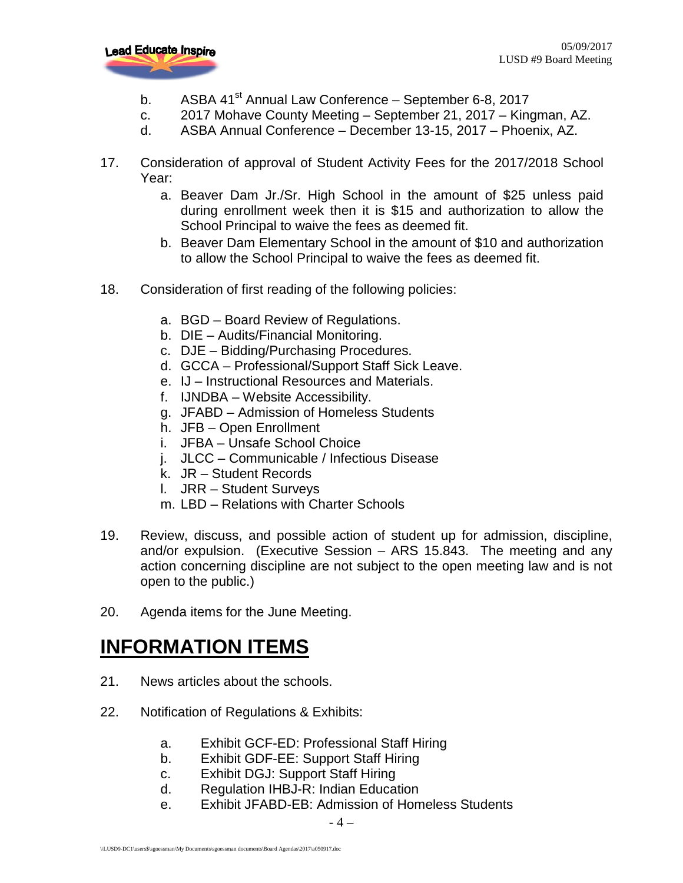

- b. ASBA  $41<sup>st</sup>$  Annual Law Conference September 6-8, 2017
- c. 2017 Mohave County Meeting September 21, 2017 Kingman, AZ.
- d. ASBA Annual Conference December 13-15, 2017 Phoenix, AZ.
- 17. Consideration of approval of Student Activity Fees for the 2017/2018 School Year:
	- a. Beaver Dam Jr./Sr. High School in the amount of \$25 unless paid during enrollment week then it is \$15 and authorization to allow the School Principal to waive the fees as deemed fit.
	- b. Beaver Dam Elementary School in the amount of \$10 and authorization to allow the School Principal to waive the fees as deemed fit.
- 18. Consideration of first reading of the following policies:
	- a. BGD Board Review of Regulations.
	- b. DIE Audits/Financial Monitoring.
	- c. DJE Bidding/Purchasing Procedures.
	- d. GCCA Professional/Support Staff Sick Leave.
	- e. IJ Instructional Resources and Materials.
	- f. IJNDBA Website Accessibility.
	- g. JFABD Admission of Homeless Students
	- h. JFB Open Enrollment
	- i. JFBA Unsafe School Choice
	- j. JLCC Communicable / Infectious Disease
	- k. JR Student Records
	- l. JRR Student Surveys
	- m. LBD Relations with Charter Schools
- 19. Review, discuss, and possible action of student up for admission, discipline, and/or expulsion. (Executive Session – ARS 15.843. The meeting and any action concerning discipline are not subject to the open meeting law and is not open to the public.)
- 20. Agenda items for the June Meeting.

#### **INFORMATION ITEMS**

- 21. News articles about the schools.
- 22. Notification of Regulations & Exhibits:
	- a. Exhibit GCF-ED: Professional Staff Hiring
	- b. Exhibit GDF-EE: Support Staff Hiring
	- c. Exhibit DGJ: Support Staff Hiring
	- d. Regulation IHBJ-R: Indian Education
	- e. Exhibit JFABD-EB: Admission of Homeless Students